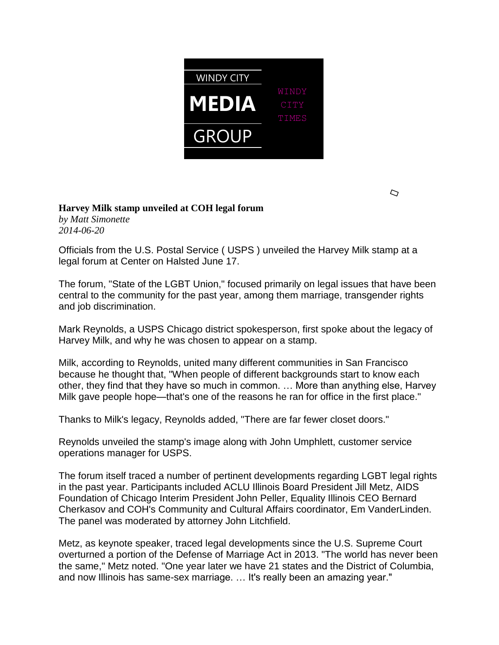

 $\bigcirc$ 

## **Harvey Milk stamp unveiled at COH legal forum**

*by Matt Simonette 2014-06-20*

Officials from the U.S. Postal Service ( USPS ) unveiled the Harvey Milk stamp at a legal forum at Center on Halsted June 17.

The forum, "State of the LGBT Union," focused primarily on legal issues that have been central to the community for the past year, among them marriage, transgender rights and job discrimination.

Mark Reynolds, a USPS Chicago district spokesperson, first spoke about the legacy of Harvey Milk, and why he was chosen to appear on a stamp.

Milk, according to Reynolds, united many different communities in San Francisco because he thought that, "When people of different backgrounds start to know each other, they find that they have so much in common. … More than anything else, Harvey Milk gave people hope—that's one of the reasons he ran for office in the first place."

Thanks to Milk's legacy, Reynolds added, "There are far fewer closet doors."

Reynolds unveiled the stamp's image along with John Umphlett, customer service operations manager for USPS.

The forum itself traced a number of pertinent developments regarding LGBT legal rights in the past year. Participants included ACLU Illinois Board President Jill Metz, AIDS Foundation of Chicago Interim President John Peller, Equality Illinois CEO Bernard Cherkasov and COH's Community and Cultural Affairs coordinator, Em VanderLinden. The panel was moderated by attorney John Litchfield.

Metz, as keynote speaker, traced legal developments since the U.S. Supreme Court overturned a portion of the Defense of Marriage Act in 2013. "The world has never been the same," Metz noted. "One year later we have 21 states and the District of Columbia, and now Illinois has same-sex marriage. … It's really been an amazing year."